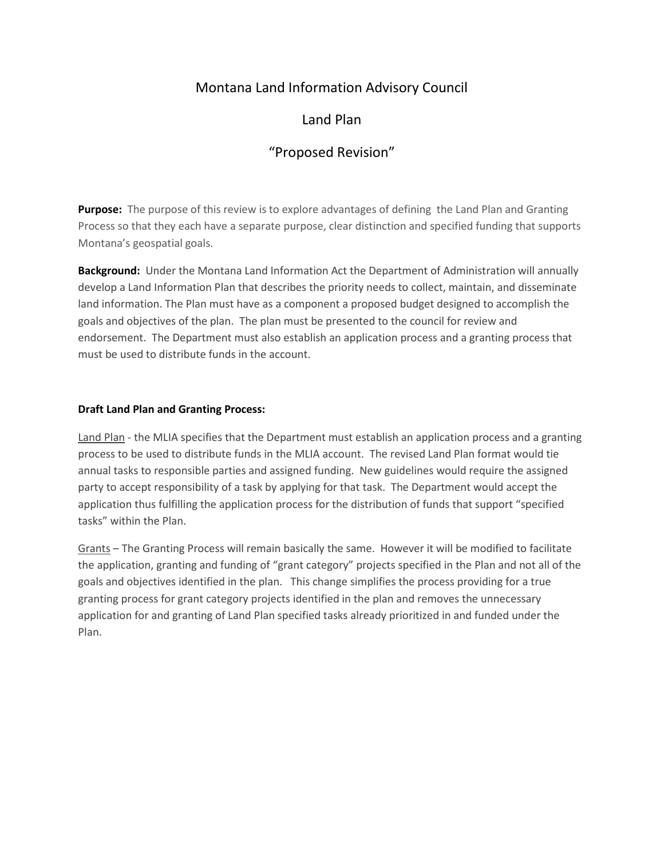# Montana Land Information Advisory Council

# Land Plan

# "Proposed Revision"

**Purpose:** The purpose of this review is to explore advantages of defining the Land Plan and Granting Process so that they each have a separate purpose, clear distinction and specified funding that supports Montana's geospatial goals.

**Background:** Under the Montana Land Information Act the Department of Administration will annually develop a Land Information Plan that describes the priority needs to collect, maintain, and disseminate land information. The Plan must have as a component a proposed budget designed to accomplish the goals and objectives of the plan. The plan must be presented to the council for review and endorsement. The Department must also establish an application process and a granting process that must be used to distribute funds in the account.

## **Draft Land Plan and Granting Process:**

Land Plan - the MLIA specifies that the Department must establish an application process and a granting process to be used to distribute funds in the MLIA account. The revised Land Plan format would tie annual tasks to responsible parties and assigned funding. New guidelines would require the assigned party to accept responsibility of a task by applying for that task. The Department would accept the application thus fulfilling the application process for the distribution of funds that support "specified tasks" within the Plan.

Grants – The Granting Process will remain basically the same. However it will be modified to facilitate the application, granting and funding of "grant category" projects specified in the Plan and not all of the goals and objectives identified in the plan. This change simplifies the process providing for a true granting process for grant category projects identified in the plan and removes the unnecessary application for and granting of Land Plan specified tasks already prioritized in and funded under the Plan.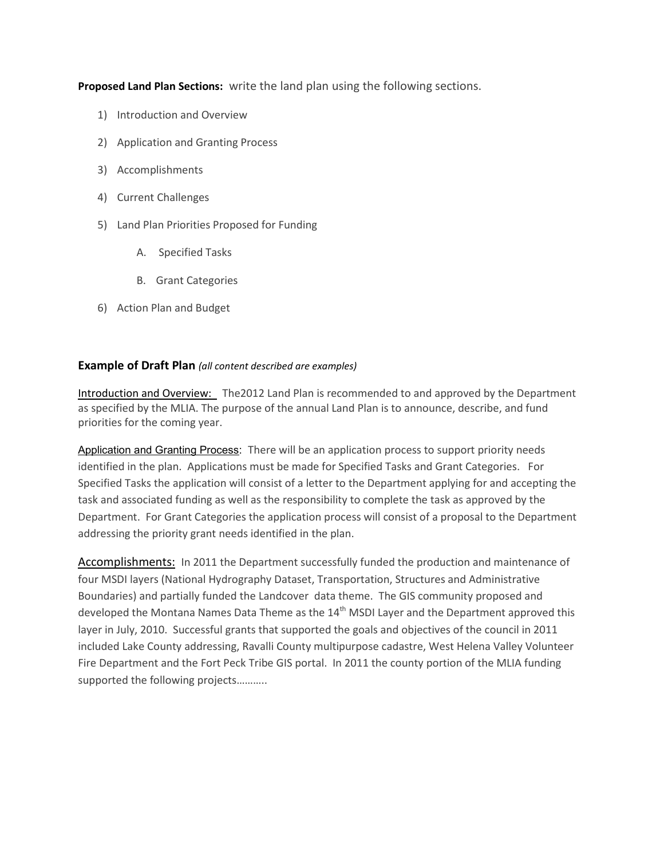**Proposed Land Plan Sections:** write the land plan using the following sections.

- 1) Introduction and Overview
- 2) Application and Granting Process
- 3) Accomplishments
- 4) Current Challenges
- 5) Land Plan Priorities Proposed for Funding
	- A. Specified Tasks
	- B. Grant Categories
- 6) Action Plan and Budget

## **Example of Draft Plan** *(all content described are examples)*

Introduction and Overview: The2012 Land Plan is recommended to and approved by the Department as specified by the MLIA. The purpose of the annual Land Plan is to announce, describe, and fund priorities for the coming year.

Application and Granting Process: There will be an application process to support priority needs identified in the plan. Applications must be made for Specified Tasks and Grant Categories. For Specified Tasks the application will consist of a letter to the Department applying for and accepting the task and associated funding as well as the responsibility to complete the task as approved by the Department. For Grant Categories the application process will consist of a proposal to the Department addressing the priority grant needs identified in the plan.

Accomplishments: In 2011 the Department successfully funded the production and maintenance of four MSDI layers (National Hydrography Dataset, Transportation, Structures and Administrative Boundaries) and partially funded the Landcover data theme. The GIS community proposed and developed the Montana Names Data Theme as the  $14<sup>th</sup>$  MSDI Layer and the Department approved this layer in July, 2010. Successful grants that supported the goals and objectives of the council in 2011 included Lake County addressing, Ravalli County multipurpose cadastre, West Helena Valley Volunteer Fire Department and the Fort Peck Tribe GIS portal. In 2011 the county portion of the MLIA funding supported the following projects………..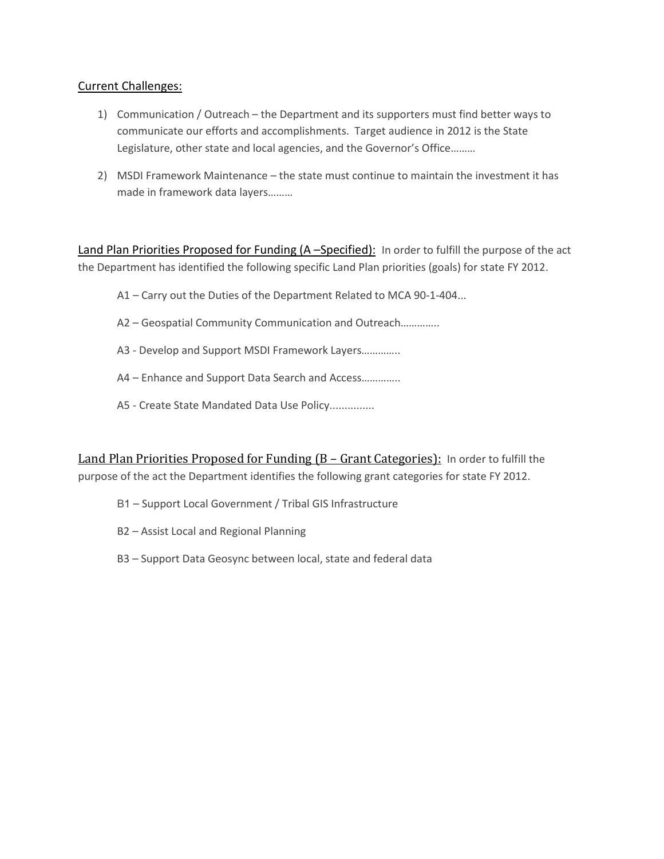# Current Challenges:

- 1) Communication / Outreach the Department and its supporters must find better ways to communicate our efforts and accomplishments. Target audience in 2012 is the State Legislature, other state and local agencies, and the Governor's Office………
- 2) MSDI Framework Maintenance the state must continue to maintain the investment it has made in framework data layers………

Land Plan Priorities Proposed for Funding (A-Specified): In order to fulfill the purpose of the act the Department has identified the following specific Land Plan priorities (goals) for state FY 2012.

- A1 Carry out the Duties of the Department Related to MCA 90-1-404...
- A2 Geospatial Community Communication and Outreach…………..
- A3 Develop and Support MSDI Framework Layers…………..
- A4 Enhance and Support Data Search and Access…………..
- A5 Create State Mandated Data Use Policy...............

Land Plan Priorities Proposed for Funding (B – Grant Categories): In order to fulfill the purpose of the act the Department identifies the following grant categories for state FY 2012.

- B1 Support Local Government / Tribal GIS Infrastructure
- B2 Assist Local and Regional Planning
- B3 Support Data Geosync between local, state and federal data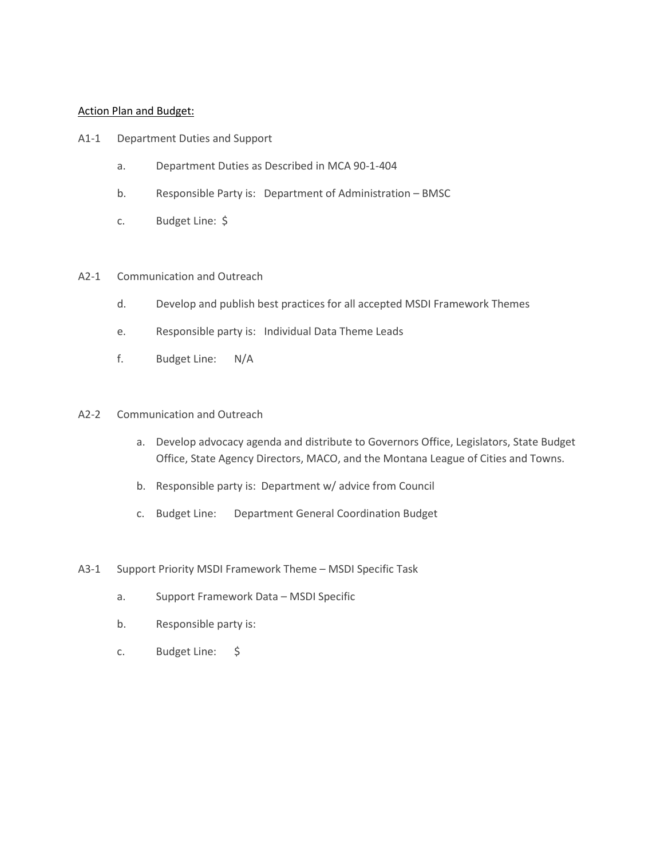### Action Plan and Budget:

- A1-1 Department Duties and Support
	- a. Department Duties as Described in MCA 90-1-404
	- b. Responsible Party is: Department of Administration BMSC
	- c. Budget Line: \$

#### A2-1 Communication and Outreach

- d. Develop and publish best practices for all accepted MSDI Framework Themes
- e. Responsible party is: Individual Data Theme Leads
- f. Budget Line: N/A

## A2-2 Communication and Outreach

- a. Develop advocacy agenda and distribute to Governors Office, Legislators, State Budget Office, State Agency Directors, MACO, and the Montana League of Cities and Towns.
- b. Responsible party is: Department w/ advice from Council
- c. Budget Line: Department General Coordination Budget

### A3-1 Support Priority MSDI Framework Theme – MSDI Specific Task

- a. Support Framework Data MSDI Specific
- b. Responsible party is:
- c. Budget Line: \$